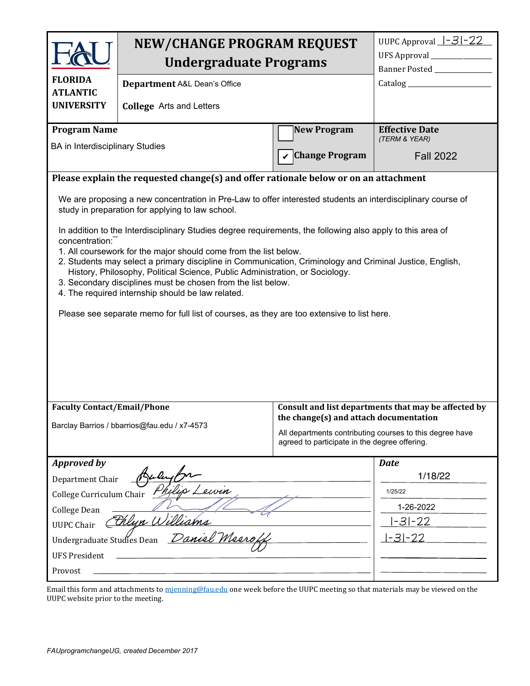|                                                                                                                                                                                                                                                                                                                                                                                                                                                                                                                                                                                                                 | <b>NEW/CHANGE PROGRAM REQUEST</b><br><b>Undergraduate Programs</b> |                                                                                                           | UUPC Approval $-3-22$<br>Banner Posted _______________ |  |
|-----------------------------------------------------------------------------------------------------------------------------------------------------------------------------------------------------------------------------------------------------------------------------------------------------------------------------------------------------------------------------------------------------------------------------------------------------------------------------------------------------------------------------------------------------------------------------------------------------------------|--------------------------------------------------------------------|-----------------------------------------------------------------------------------------------------------|--------------------------------------------------------|--|
| <b>FLORIDA</b><br><b>ATLANTIC</b>                                                                                                                                                                                                                                                                                                                                                                                                                                                                                                                                                                               | Department A&L Dean's Office                                       |                                                                                                           |                                                        |  |
| <b>UNIVERSITY</b>                                                                                                                                                                                                                                                                                                                                                                                                                                                                                                                                                                                               | <b>College</b> Arts and Letters                                    |                                                                                                           |                                                        |  |
| <b>Program Name</b><br><b>BA</b> in Interdisciplinary Studies                                                                                                                                                                                                                                                                                                                                                                                                                                                                                                                                                   |                                                                    | <b>New Program</b>                                                                                        | <b>Effective Date</b><br>(TERM & YEAR)                 |  |
|                                                                                                                                                                                                                                                                                                                                                                                                                                                                                                                                                                                                                 |                                                                    | <b>Change Program</b>                                                                                     | <b>Fall 2022</b>                                       |  |
| Please explain the requested change(s) and offer rationale below or on an attachment                                                                                                                                                                                                                                                                                                                                                                                                                                                                                                                            |                                                                    |                                                                                                           |                                                        |  |
| We are proposing a new concentration in Pre-Law to offer interested students an interdisciplinary course of<br>study in preparation for applying to law school.                                                                                                                                                                                                                                                                                                                                                                                                                                                 |                                                                    |                                                                                                           |                                                        |  |
| In addition to the Interdisciplinary Studies degree requirements, the following also apply to this area of<br>concentration:<br>1. All coursework for the major should come from the list below.<br>2. Students may select a primary discipline in Communication, Criminology and Criminal Justice, English,<br>History, Philosophy, Political Science, Public Administration, or Sociology.<br>3. Secondary disciplines must be chosen from the list below.<br>4. The required internship should be law related.<br>Please see separate memo for full list of courses, as they are too extensive to list here. |                                                                    |                                                                                                           |                                                        |  |
|                                                                                                                                                                                                                                                                                                                                                                                                                                                                                                                                                                                                                 |                                                                    |                                                                                                           |                                                        |  |
| <b>Faculty Contact/Email/Phone</b><br>Barclay Barrios / bbarrios@fau.edu / x7-4573                                                                                                                                                                                                                                                                                                                                                                                                                                                                                                                              |                                                                    | the change(s) and attach documentation                                                                    | Consult and list departments that may be affected by   |  |
|                                                                                                                                                                                                                                                                                                                                                                                                                                                                                                                                                                                                                 |                                                                    | All departments contributing courses to this degree have<br>agreed to participate in the degree offering. |                                                        |  |
| <b>Approved by</b>                                                                                                                                                                                                                                                                                                                                                                                                                                                                                                                                                                                              |                                                                    |                                                                                                           | <b>Date</b>                                            |  |
| Baler<br>Department Chair                                                                                                                                                                                                                                                                                                                                                                                                                                                                                                                                                                                       |                                                                    | 1/18/22                                                                                                   |                                                        |  |
| Philip<br>Leurin<br>College Curriculum Chair                                                                                                                                                                                                                                                                                                                                                                                                                                                                                                                                                                    |                                                                    |                                                                                                           | 1/25/22                                                |  |
| College Dean                                                                                                                                                                                                                                                                                                                                                                                                                                                                                                                                                                                                    |                                                                    |                                                                                                           | 1-26-2022                                              |  |
| <u> thlun Williams</u><br><b>UUPC Chair</b>                                                                                                                                                                                                                                                                                                                                                                                                                                                                                                                                                                     |                                                                    |                                                                                                           | $ -3 -22$                                              |  |
| Daniel Meerof<br>Undergraduate Studies Dean                                                                                                                                                                                                                                                                                                                                                                                                                                                                                                                                                                     |                                                                    |                                                                                                           | $-31-22$                                               |  |
| <b>UFS President</b>                                                                                                                                                                                                                                                                                                                                                                                                                                                                                                                                                                                            |                                                                    |                                                                                                           |                                                        |  |
| Provost                                                                                                                                                                                                                                                                                                                                                                                                                                                                                                                                                                                                         |                                                                    |                                                                                                           |                                                        |  |

Email this form and attachments to [mjenning@fau.edu](mailto:mjenning@fau.edu) one week before the UUPC meeting so that materials may be viewed on the UUPC website prior to the meeting.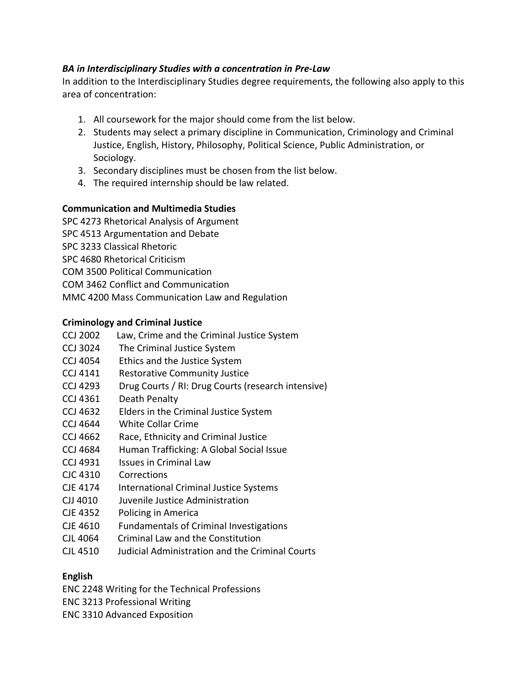# *BA in Interdisciplinary Studies with a concentration in Pre-Law*

In addition to the Interdisciplinary Studies degree requirements, the following also apply to this area of concentration:

- 1. All coursework for the major should come from the list below.
- 2. Students may select a primary discipline in Communication, Criminology and Criminal Justice, English, History, Philosophy, Political Science, Public Administration, or Sociology.
- 3. Secondary disciplines must be chosen from the list below.
- 4. The required internship should be law related.

# **Communication and Multimedia Studies**

SPC 4273 Rhetorical Analysis of Argument SPC 4513 Argumentation and Debate SPC 3233 Classical Rhetoric SPC 4680 Rhetorical Criticism COM 3500 Political Communication COM 3462 Conflict and Communication MMC 4200 Mass Communication Law and Regulation

# **Criminology and Criminal Justice**

- CCJ 2002 Law, Crime and the Criminal Justice System
- CCJ 3024 The Criminal Justice System
- CCJ 4054 Ethics and the Justice System
- CCJ 4141 Restorative Community Justice
- CCJ 4293 Drug Courts / RI: Drug Courts (research intensive)
- CCJ 4361 Death Penalty
- CCJ 4632 Elders in the Criminal Justice System
- CCJ 4644 White Collar Crime
- CCJ 4662 Race, Ethnicity and Criminal Justice
- CCJ 4684 Human Trafficking: A Global Social Issue
- CCJ 4931 Issues in Criminal Law
- CJC 4310 Corrections
- CJE 4174 International Criminal Justice Systems
- CJJ 4010 Juvenile Justice Administration
- CJE 4352 Policing in America
- CJE 4610 Fundamentals of Criminal Investigations
- CJL 4064 Criminal Law and the Constitution
- CJL 4510 Judicial Administration and the Criminal Courts

# **English**

ENC 2248 Writing for the Technical Professions

- ENC 3213 Professional Writing
- ENC 3310 Advanced Exposition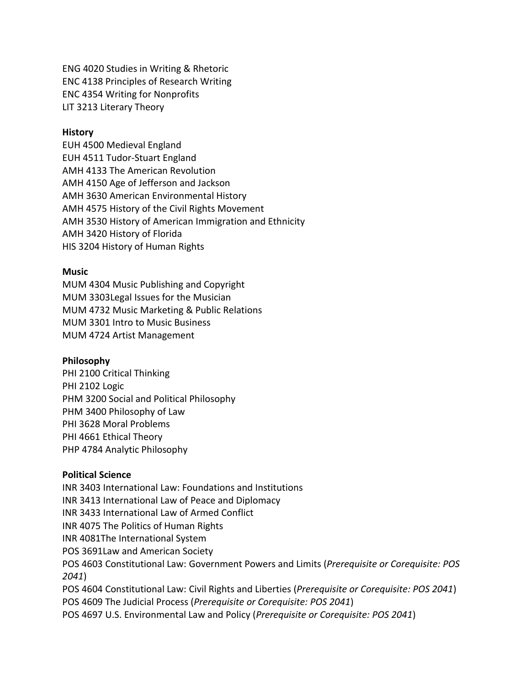ENG 4020 Studies in Writing & Rhetoric ENC 4138 Principles of Research Writing ENC 4354 Writing for Nonprofits LIT 3213 Literary Theory

#### **History**

EUH 4500 Medieval England EUH 4511 Tudor-Stuart England AMH 4133 The American Revolution AMH 4150 Age of Jefferson and Jackson AMH 3630 American Environmental History AMH 4575 History of the Civil Rights Movement AMH 3530 History of American Immigration and Ethnicity AMH 3420 History of Florida HIS 3204 History of Human Rights

#### **Music**

MUM 4304 Music Publishing and Copyright MUM 3303Legal Issues for the Musician MUM 4732 Music Marketing & Public Relations MUM 3301 Intro to Music Business MUM 4724 Artist Management

#### **Philosophy**

PHI 2100 Critical Thinking PHI 2102 Logic PHM 3200 Social and Political Philosophy PHM 3400 Philosophy of Law PHI 3628 Moral Problems PHI 4661 Ethical Theory PHP 4784 Analytic Philosophy

### **Political Science**

INR 3403 International Law: Foundations and Institutions INR 3413 International Law of Peace and Diplomacy INR 3433 International Law of Armed Conflict INR 4075 The Politics of Human Rights INR 4081The International System POS 3691Law and American Society POS 4603 Constitutional Law: Government Powers and Limits (*Prerequisite or Corequisite: POS 2041*) POS 4604 Constitutional Law: Civil Rights and Liberties (*Prerequisite or Corequisite: POS 2041*) POS 4609 The Judicial Process (*Prerequisite or Corequisite: POS 2041*) POS 4697 U.S. Environmental Law and Policy (*Prerequisite or Corequisite: POS 2041*)